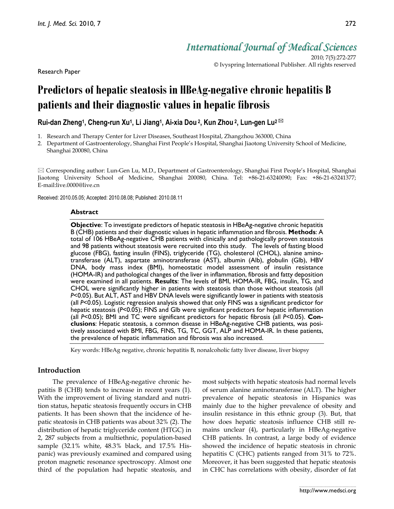Research Paper

*International Journal of Medical Sciences*

2010; 7(5):272-277 © Ivyspring International Publisher. All rights reserved

# **Predictors of hepatic steatosis in HBeAg-negative chronic hepatitis B patients and their diagnostic values in hepatic fibrosis**

**Rui-dan Zheng1, Cheng-run Xu1, Li Jiang1, Ai-xia Dou 2, Kun Zhou 2, Lun-gen Lu2** 

- 1. Research and Therapy Center for Liver Diseases, Southeast Hospital, Zhangzhou 363000, China
- 2. Department of Gastroenterology, Shanghai First People's Hospital, Shanghai Jiaotong University School of Medicine, Shanghai 200080, China

 $\boxtimes$  Corresponding author: Lun-Gen Lu, M.D., Department of Gastroenterology, Shanghai First People's Hospital, Shanghai Jiaotong University School of Medicine, Shanghai 200080, China. Tel: +86-21-63240090; Fax: +86-21-63241377; E-mail:live.0000@live.cn

Received: 2010.05.05; Accepted: 2010.08.08; Published: 2010.08.11

## **Abstract**

**Objective**: To investigate predictors of hepatic steatosis in HBeAg-negative chronic hepatitis B (CHB) patients and their diagnostic values in hepatic inflammation and fibrosis. **Methods**: A total of 106 HBeAg-negative CHB patients with clinically and pathologically proven steatosis and 98 patients without steatosis were recruited into this study. The levels of fasting blood glucose (FBG), fasting insulin (FINS), triglyceride (TG), cholesterol (CHOL), alanine aminotransferase (ALT), aspartate aminotransferase (AST), albumin (Alb), globulin (Glb), HBV DNA, body mass index (BMI), homeostatic model assessment of insulin resistance (HOMA-IR) and pathological changes of the liver in inflammation, fibrosis and fatty deposition were examined in all patients. **Results**: The levels of BMI, HOMA-IR, FBG, insulin, TG, and CHOL were significantly higher in patients with steatosis than those without steatosis (all *P*<0.05). But ALT, AST and HBV DNA levels were significantly lower in patients with steatosis (all *P*<0.05). Logistic regression analysis showed that only FINS was a significant predictor for hepatic steatosis (*P*<0.05); FINS and Glb were significant predictors for hepatic inflammation (all *P*<0.05); BMI and TC were significant predictors for hepatic fibrosis (all *P*<0.05). **Conclusions**: Hepatic steatosis, a common disease in HBeAg-negative CHB patients, was positively associated with BMI, FBG, FINS, TG, TC, GGT, ALP and HOMA-IR. In these patients, the prevalence of hepatic inflammation and fibrosis was also increased.

Key words: HBeAg negative, chronic hepatitis B, nonalcoholic fatty liver disease, liver biopsy

# **Introduction**

The prevalence of HBeAg-negative chronic hepatitis B (CHB) tends to increase in recent years (1). With the improvement of living standard and nutrition status, hepatic steatosis frequently occurs in CHB patients. It has been shown that the incidence of hepatic steatosis in CHB patients was about 32% (2). The distribution of hepatic triglyceride content (HTGC) in 2, 287 subjects from a multiethnic, population-based sample (32.1% white, 48.3% black, and 17.5% Hispanic) was previously examined and compared using proton magnetic resonance spectroscopy. Almost one third of the population had hepatic steatosis, and most subjects with hepatic steatosis had normal levels of serum alanine aminotransferase (ALT). The higher prevalence of hepatic steatosis in Hispanics was mainly due to the higher prevalence of obesity and insulin resistance in this ethnic group (3). But, that how does hepatic steatosis influence CHB still remains unclear (4), particularly in HBeAg-negative CHB patients. In contrast, a large body of evidence showed the incidence of hepatic steatosis in chronic hepatitis C (CHC) patients ranged from 31% to 72%. Moreover, it has been suggested that hepatic steatosis in CHC has correlations with obesity, disorder of fat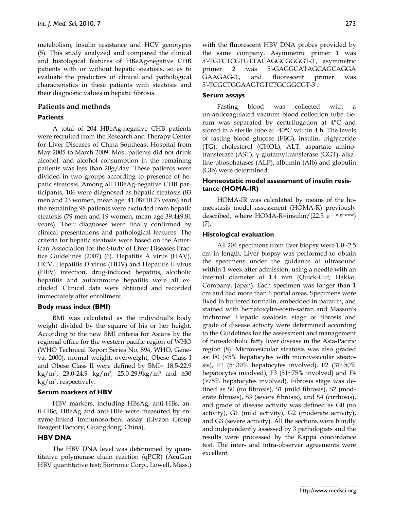metabolism, insulin resistance and HCV genotypes (5). This study analyzed and compared the clinical and histological features of HBeAg-negative CHB patients with or without hepatic steatosis, so as to evaluate the predictors of clinical and pathological characteristics in these patients with steatosis and their diagnostic values in hepatic fibrosis.

## **Patients and methods**

### **Patients**

A total of 204 HBeAg-negative CHB patients were recruited from the Research and Therapy Center for Liver Diseases of China Southeast Hospital from May 2005 to March 2009. Most patients did not drink alcohol, and alcohol consumption in the remaining patients was less than 20g/day. These patients were divided in two groups according to presence of hepatic steatosis. Among all HBeAg-negative CHB participants, 106 were diagnosed as hepatic steatosis (83 men and 23 women, mean age: 41.08±10.23 years) and the remaining 98 patients were excluded from hepatic steatosis (79 men and 19 women, mean age 39.4±9.81 years). Their diagnoses were finally confirmed by clinical presentations and pathological features. The criteria for hepatic steatosis were based on the American Association for the Study of Liver Diseases Practice Guidelines (2007) (6). Hepatitis A virus (HAV), HCV, Hepatitis D virus (HDV) and Hepatitis E virus (HEV) infection, drug-induced hepatitis, alcoholic hepatitis and autoimmune hepatitis were all excluded. Clinical data were obtained and recorded immediately after enrollment.

### **Body mass index (BMI)**

BMI was calculated as the individual's body weight divided by the square of his or her height. According to the new BMI criteria for Asians by the regional office for the western pacific region of WHO (WHO Technical Report Series No. 894, WHO, Geneva, 2000), normal weight, overweight, Obese Class I and Obese Class II were defined by BMI= 18.5-22.9  $kg/m<sup>2</sup>$ , 23.0-24.9 kg/m<sup>2</sup>, 25.0-29.9kg/m<sup>2</sup> and ≥30  $kg/m<sup>2</sup>$ , respectively.

#### **Serum markers of HBV**

HBV markers, including HBsAg, anti-HBs, anti-HBc, HBeAg and anti-HBe were measured by enzyme-linked immunosorbent assay (Livzon Group Reagent Factory, Guangdong, China).

## **HBV DNA**

The HBV DNA level was determined by quantitative polymerase chain reaction (qPCR) (AcuGen HBV quantitative test; Biotronic Corp., Lowell, Mass.) with the fluorescent HBV DNA probes provided by the same company. Asymmetric primer 1 was 5′-TGTCTCGTGTTACAGGCGGGGT-3', asymmetric primer 2 was 5'-GAGGCATAGCAGCAGGA GAAGAG-3', and fluorescent primer was 5′-TCGCTGGAAGTGTCTGCGGCGT-3'.

#### **Serum assays**

Fasting blood was collected with a un-anticoagulated vacuum blood collection tube. Serum was separated by centrifugation at 4°C and stored in a sterile tube at -40°C within 4 h. The levels of fasting blood glucose (FBG), insulin, triglyceride (TG), cholesterol (CHOL), ALT, aspartate aminotransferase (AST), γ-glutamyltransferase (GGT), alkaline phosphatases (ALP), albumin (Alb) and globulin (Glb) were determined.

## **Homeostatic model assessment of insulin resistance (HOMA-IR)**

HOMA-IR was calculated by means of the homeostasis model assessment (HOMA-R) previously described, where HOMA-R=insulin/(22.5 e - ln glucose)  $(Y)$ .

#### **Histological evaluation**

All 204 specimens from liver biopsy were 1.0~2.5 cm in length. Liver biopsy was performed to obtain the specimens under the guidance of ultrasound within 1 week after admission, using a needle with an internal diameter of 1.4 mm (Quick-Cut; Hakko. Company, Japan). Each specimen was longer than 1 cm and had more than 6 portal areas. Specimens were fixed in buffered formalin, embedded in paraffin, and stained with hematoxylin-eosin-safran and Masson's trichrome. Hepatic steatosis, stage of fibrosis and grade of disease activity were determined according to the Guidelines for the assessment and management of non-alcoholic fatty liver disease in the Asia-Pacific region (8). Microvesicular steatosis was also graded as: F0 (<5% hepatocytes with microvesicular steatosis), F1 (5~30% hepatocytes involved), F2 (31~50% hepatocytes involved), F3 (51~75% involved) and F4 (>75% hepatocytes involved). Fibrosis stage was defined as S0 (no fibrosis), S1 (mild fibrosis), S2 (moderate fibrosis), S3 (severe fibrosis), and S4 (cirrhosis), and grade of disease activity was defined as G0 (no activity), G1 (mild activity), G2 (moderate activity), and G3 (severe activity). All the sections were blindly and independently assessed by 3 pathologists and the results were processed by the Kappa concordance test. The inter- and intra-observer agreements were excellent.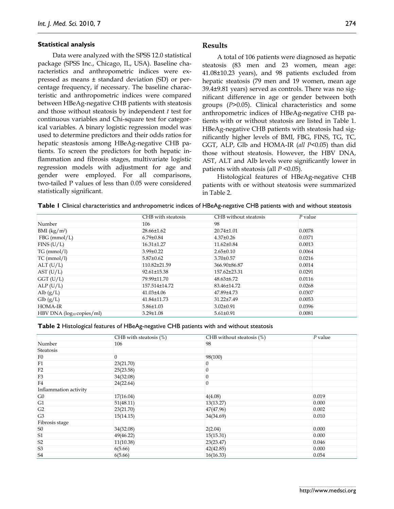#### **Statistical analysis**

Data were analyzed with the SPSS 12.0 statistical package (SPSS Inc., Chicago, IL, USA). Baseline characteristics and anthropometric indices were expressed as means ± standard deviation (SD) or percentage frequency, if necessary. The baseline characteristic and anthropometric indices were compared between HBeAg-negative CHB patients with steatosis and those without steatosis by independent *t* test for continuous variables and Chi-square test for categorical variables. A binary logistic regression model was used to determine predictors and their odds ratios for hepatic steastosis among HBeAg-negative CHB patients. To screen the predictors for both hepatic inflammation and fibrosis stages, multivariate logistic regression models with adjustment for age and gender were employed. For all comparisons, two-tailed P values of less than 0.05 were considered statistically significant.

## **Results**

A total of 106 patients were diagnosed as hepatic steatosis (83 men and 23 women, mean age: 41.08±10.23 years), and 98 patients excluded from hepatic steatosis (79 men and 19 women, mean age 39.4±9.81 years) served as controls. There was no significant difference in age or gender between both groups (*P*>0.05). Clinical characteristics and some anthropometric indices of HBeAg-negative CHB patients with or without steatosis are listed in Table 1. HBeAg-negative CHB patients with steatosis had significantly higher levels of BMI, FBG, FINS, TG, TC, GGT, ALP, Glb and HOMA-IR (*all P*<0.05) than did those without steatosis. However, the HBV DNA, AST, ALT and Alb levels were significantly lower in patients with steatosis (all *P* <0.05).

Histological features of HBeAg-negative CHB patients with or without steatosis were summarized in Table 2.

| Table I Clinical characteristics and anthropometric indices of HBeAg-negative CHB patients with and without steatosis |  |  |
|-----------------------------------------------------------------------------------------------------------------------|--|--|
|-----------------------------------------------------------------------------------------------------------------------|--|--|

|                                   | CHB with steatosis | CHB without steatosis | $P$ value |
|-----------------------------------|--------------------|-----------------------|-----------|
| Number                            | 106                | 98                    |           |
| BMI (kg/m <sup>2</sup> )          | 28.66±1.62         | 20.74±1.01            | 0.0078    |
| $FBG$ (mmol/L)                    | $6.79 \pm 0.84$    | $4.37 \pm 0.26$       | 0.0371    |
| FINS (U/L)                        | 16.31±1.27         | 11.62±0.84            | 0.0013    |
| TG (mmol/l)                       | $3.99 \pm 0.22$    | $2.65 \pm 0.10$       | 0.0064    |
| $TC \, (mmol/l)$                  | $5.87 \pm 0.62$    | $3.70 \pm 0.57$       | 0.0216    |
| ALT (U/L)                         | 110.82±21.59       | 366.90±86.87          | 0.0014    |
| AST (U/L)                         | 92.61±15.38        | 157.62±23.31          | 0.0291    |
| $GGT$ (U/L)                       | 79.99±11.70        | $48.63\pm 6.72$       | 0.0116    |
| ALP(U/L)                          | 157.514±14.72      | 83.46±14.72           | 0.0268    |
| Alb $(g/L)$                       | $41.03\pm4.06$     | 47.89±4.73            | 0.0307    |
| $\mathop{\rm Glb}\nolimits$ (g/L) | 41.84±11.73        | 31.22±7.49            | 0.0053    |
| <b>HOMA-IR</b>                    | $5.86 \pm 1.03$    | $3.02 \pm 0.91$       | 0.0396    |
| $HBV$ DNA ( $log_{10}$ copies/ml) | $3.29 \pm 1.08$    | $5.61 \pm 0.91$       | 0.0081    |

#### **Table 2** Histological features of HBeAg-negative CHB patients with and without steatosis

|                       | CHB with steatosis $(\%)$ | CHB without steatosis $(\%)$ | $P$ value |
|-----------------------|---------------------------|------------------------------|-----------|
| Number                | 106                       | 98                           |           |
| Steatosis             |                           |                              |           |
| F <sub>0</sub>        | $\overline{0}$            | 98(100)                      |           |
| F1                    | 23(21.70)                 | 0                            |           |
| F2                    | 25(23.58)                 | $\boldsymbol{0}$             |           |
| F <sub>3</sub>        | 34(32.08)                 | $\boldsymbol{0}$             |           |
| F4                    | 24(22.64)                 | $\boldsymbol{0}$             |           |
| Inflammation activity |                           |                              |           |
| G <sub>0</sub>        | 17(16.04)                 | 4(4.08)                      | 0.019     |
| G1                    | 51(48.11)                 | 13(13.27)                    | 0.000     |
| G <sub>2</sub>        | 23(21.70)                 | 47(47.96)                    | 0.002     |
| G <sub>3</sub>        | 15(14.15)                 | 34(34.69)                    | 0.010     |
| Fibrosis stage        |                           |                              |           |
| S <sub>0</sub>        | 34(32.08)                 | 2(2.04)                      | 0.000     |
| S <sub>1</sub>        | 49(46.22)                 | 15(15.31)                    | 0.000     |
| S <sub>2</sub>        | 11(10.38)                 | 23(23.47)                    | 0.046     |
| S <sub>3</sub>        | 6(5.66)                   | 42(42.85)                    | 0.000     |
| S <sub>4</sub>        | 6(5.66)                   | 16(16.33)                    | 0.054     |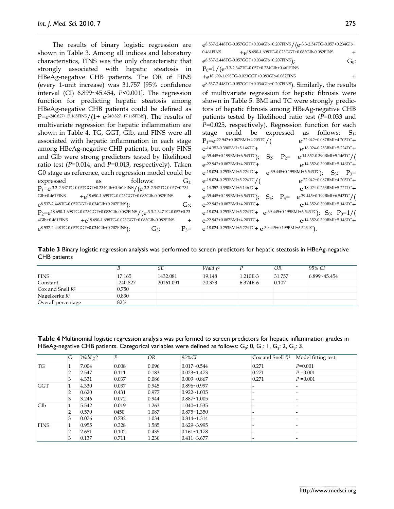The results of binary logistic regression are shown in Table 3. Among all indices and laboratory characteristics, FINS was the only characteristic that strongly associated with hepatic steatosis in HBeAg-negative CHB patients. The OR of FINS (every 1-unit increase) was 31.757 [95% confidence interval (CI) 6.899~45.454, *P*<0.001]. The regression function for predicting hepatic steatosis among HBeAg-negative CHB patients could be defined as P=e-240.827+17.165FINS/(1+ e-240.827+17.165FINS). The results of multivariate regression for hepatic inflammation are shown in Table 4. TG, GGT, Glb, and FINS were all associated with hepatic inflammation in each stage among HBeAg-negative CHB patients, but only FINS and Glb were strong predictors tested by likelihood ratio test (*P*=0.014, and *P*=0.013, respectively). Taken G0 stage as reference, each regression model could be expressed as follows:  $G_1$ : P1=e-3.3-2.347TG-0.057GGT+0.234Glb+0.461FINS/(e-3.3-2.347TG-0.057+0.234 Glb+0.461FINS  $+e^{18.690-1.698TG-0.023GGT+0.083Glb-0.082FINS}$  +  $e^{8.537-2.448T G-0.057GGT+0.034Glb+0.207FINS}$ ;  $G_2$ : P<sub>2</sub>=e<sup>18.690-1.698TG-0.023GGT+0.083Glb-0.082FINS / (e-3.3-2.347TG-0.057+0.23</sup> 4Glb+0.461FINS + e<sup>18.690-1.698TG-0.023GGT+0.083Glb-0.082FINS</sup> +  $e^{8.537-2.448T G-0.057GGT+0.034G lb+0.207FINS}$ ;  $G_3$ :  $P_3=$ 

e8.537-2.448TG-0.057GGT+0.034Glb+0.207FINS/(e-3.3-2.347TG-0.057+0.234Glb+ 0.461FINS  $+e^{18.690-1.698TG-0.023GGT+0.083Glb-0.082FINS}$  +  $e^{8.537 - 2.448T G - 0.057GGT + 0.034Glb + 0.207FINS}$ ;  $G_0$ :  $P_0$ =1/(e<sup>-3.3-2.347TG-0.057+0.234Glb+0.461FINS</sup> +e18.690-1.698TG-0.023GGT+0.083Glb-0.082FINS + e8.537-2.448TG-0.057GGT+0.034Glb+0.207FINS). Similarly, the results of multivariate regression for hepatic fibrosis were shown in Table 5. BMI and TC were strongly predictors of hepatic fibrosis among HBeAg-negative CHB patients tested by likelihood ratio test (*P*=0.033 and *P*=0.025, respectively). Regression function for each stage could be expressed as follows:  $S_1$ :<br> $P_1 = e^{-22.942+0.087BMI+4.203TC}$   $e^{-22.942+0.087BMI+4.203TC}$  $P_1$ =e-22.942+0.087BMI+4.203TC/( e-22.942+0.087BMI+4.203TC+<br>e-14.352-0.390BMI+5.146TC+ e-18.024-0.253BMI+5.224TC+  $e^{-14.352-0.390BM1+5.146TC} + e^{-39.445+0.199BM1+6.543TC}$  $S_2$ :  $P_2$  =  $e^{-14.352-0.390BMI+5.146TC}/($  $e^{-22.942+0.087BMI+4.203TC}$ + $e^{-14.352-0.390BMI+5.146TC}$ e-18.024-0.253BMI+5.224TC+ e-39.445+0.199BMI+6.543TC); S<sub>3</sub>: P<sub>3</sub>=<br>e-18.024-0.253BMI+5.224TC/(e-22.942+0.087BMI+4.203TC+  $e^{-18.024 - 0.253BMI + 5.224TC}/$ e-14.352-0.390BMI+5.146TC+ e-18.024-0.253BMI+5.224TC+  $e^{-39.445+0.199BM1+6.543TC}$ ;  $S_4$ ;  $P_4 = e^{-39.445+0.199BM1+6.543TC}$ <br> $e^{-22.942+0.087BM1+4.203TC}$ <br> $e^{-14.352-0.390BM1+5.146TC}$  $e^{-14.352-0.390BMI+5.146TC}$  $e^{-18.024-0.253BMI+5.224TC}$   $+$   $e^{-39.445+0.199BMI+6.543TC}$ ;  $S_0$ :  $P_0=1/($ e-22.942+0.087BMI+4.203TC+ e-14.352-0.390BMI+5.146TC+ e-18.024-0.253BMI+5.224TC+ e-39.445+0.199BMI+6.543TC).

**Table 3** Binary logistic regression analysis was performed to screen predictors for hepatic steatosis in HBeAg-negative CHB patients

|                        |            | SЕ        | <i>Wald</i> $\chi^2$ |          | OR     | 95% CI       |
|------------------------|------------|-----------|----------------------|----------|--------|--------------|
| <b>FINS</b>            | 17.165     | 1432.081  | 19.148               | 1.210E-3 | 31.757 | 6.899~45.454 |
| Constant               | $-240.827$ | 20161.091 | 20.373               | 6.374E-6 | 0.107  |              |
| $\cos$ and Snell $R^2$ | 0.750      |           |                      |          |        |              |
| Nagelkerke $R^2$       | 0.830      |           |                      |          |        |              |
| Overall percentage     | 82%        |           |                      |          |        |              |

**Table 4** Multinomial logistic regression analysis was performed to screen predictors for hepatic inflammation grades in HBeAg-negative CHB patients. Categorical variables were defined as follows:  $G_0$ : 0,  $G_1$ : 1,  $G_2$ : 2,  $G_3$ : 3.

|             | G | <i>Wald</i> $\chi$ <sup>2</sup> | P     | OR    | $95\%$ CI          | Cox and Snell $R^2$ | Model fitting test |
|-------------|---|---------------------------------|-------|-------|--------------------|---------------------|--------------------|
| TG          |   | 7.004                           | 0.008 | 0.096 | $0.017 - 0.544$    | 0.271               | $P=0.001$          |
|             | 2 | 2.547                           | 0.111 | 0.183 | $0.023 - 1.473$    | 0.271               | $P = 0.001$        |
|             | 3 | 4.331                           | 0.037 | 0.086 | $0.009 - 0.867$    | 0.271               | $P = 0.001$        |
| <b>GGT</b>  |   | 4.330                           | 0.037 | 0.945 | $0.896 - 0.997$    |                     |                    |
|             | 2 | 0.620                           | 0.431 | 0.977 | $0.922 - 1.035$    |                     |                    |
|             | 3 | 3.246                           | 0.072 | 0.944 | $0.887 - 1.005$    |                     |                    |
| Glb         |   | 5.542                           | 0.019 | 1.263 | $1.040 \sim 1.535$ |                     |                    |
|             | 2 | 0.570                           | 0450  | 1.087 | $0.875 - 1.350$    |                     |                    |
|             | 3 | 0.076                           | 0.782 | 1.034 | $0.814 - 1.314$    |                     |                    |
| <b>FINS</b> |   | 0.955                           | 0.328 | 1.585 | $0.629 - 3.995$    |                     |                    |
|             | っ | 2.681                           | 0.102 | 0.435 | $0.161 - 1.178$    |                     |                    |
|             | 3 | 0.137                           | 0.711 | 1.230 | $0.411 - 3.677$    |                     |                    |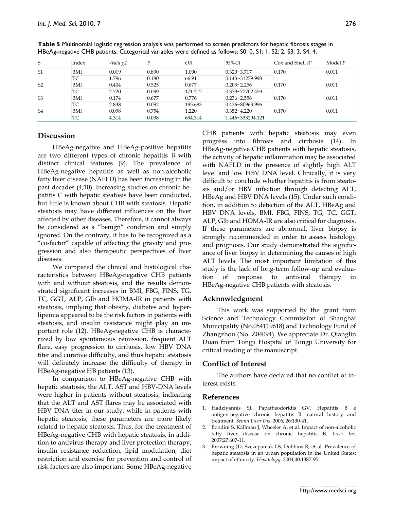| S              | Index      | <i>Wald</i> $\chi$ <sup>2</sup> | D     | OR      | 95% CI              | $Cox$ and Snell $R^2$ | Model $P$ |
|----------------|------------|---------------------------------|-------|---------|---------------------|-----------------------|-----------|
| S <sub>1</sub> | <b>BMI</b> | 0.019                           | 0.890 | 1.090   | $0.320 - 3.717$     | 0.170                 | 0.011     |
|                | TС         | 1.796                           | 0.180 | 66.911  | $0.143 - 31279.998$ |                       |           |
| S <sub>2</sub> | <b>BMI</b> | 0.404                           | 0.525 | 0.677   | $0.203 - 2.256$     | 0.170                 | 0.011     |
|                | ТC         | 2.720                           | 0.099 | 171.712 | $0.379 - 77702.459$ |                       |           |
| S <sub>3</sub> | <b>BMI</b> | 0.174                           | 0.677 | 0.776   | $0.236 - 2.556$     | 0.170                 | 0.011     |
|                | ТC         | 2.838                           | 0.092 | 185.683 | $0.426 - 80963.996$ |                       |           |
| S <sub>4</sub> | BMI        | 0.098                           | 0.754 | 1.220   | $0.352 - 4.220$     | 0.170                 | 0.011     |
|                | TC         | 4.314                           | 0.038 | 694.314 | 1.446~333294.121    |                       |           |

**Table 5** Multinomial logistic regression analysis was performed to screen predictors for hepatic fibrosis stages in HBeAg-negative CHB patients. Categorical variables were defined as follows: S0: 0, S1: 1, S2: 2, S3: 3, S4: 4.

## **Discussion**

HBeAg-negative and HBeAg-positive hepatitis are two different types of chronic hepatitis B with distinct clinical features (9). The prevalence of HBeAg-negative hepatitis as well as non-alcoholic fatty liver disease (NAFLD) has been increasing in the past decades (4,10). Increasing studies on chronic hepatitis C with hepatic steatosis have been conducted, but little is known about CHB with steatosis. Hepatic steatosis may have different influences on the liver affected by other diseases. Therefore, it cannot always be considered as a "benign" condition and simply ignored. On the contrary, it has to be recognized as a "co-factor" capable of affecting the gravity and progression and also therapeutic perspectives of liver diseases.

We compared the clinical and histological characteristics between HBeAg-negative CHB patients with and without steatosis, and the results demonstrated significant increases in BMI, FBG, FINS, TG, TC, GGT, ALP, Glb and HOMA-IR in patients with steatosis, implying that obesity, diabetes and hyperlipemia appeared to be the risk factors in patients with steatosis, and insulin resistance might play an important role (12). HBeAg-negative CHB is characterized by low spontaneous remission, frequent ALT flare, easy progression to cirrhosis, low HBV DNA titer and curative difficulty, and thus hepatic steatosis will definitely increase the difficulty of therapy in HBeAg-negative HB patients (13).

In comparison to HBeAg-negative CHB with hepatic steatosis, the ALT, AST and HBV-DNA levels were higher in patients without steatosis, indicating that the ALT and AST flares may be associated with HBV DNA titer in our study, while in patients with hepatic steatosis, these parameters are more likely related to hepatic steatosis. Thus, for the treatment of HBeAg-negative CHB with hepatic steatosis, in addition to antivirus therapy and liver protection therapy, insulin resistance reduction, lipid modulation, diet restriction and exercise for prevention and control of risk factors are also important. Some HBeAg-negative

CHB patients with hepatic steatosis may even progress into fibrosis and cirrhosis (14). In HBeAg-negative CHB patients with hepatic steatosis, the activity of hepatic inflammation may be associated with NAFLD in the presence of slightly high ALT level and low HBV DNA level. Clinically, it is very difficult to conclude whether hepatitis is from steatosis and/or HBV infection through detecting ALT, HBeAg and HBV DNA levels (15). Under such condition, in addition to detection of the ALT, HBeAg and HBV DNA levels, BMI, FBG, FINS, TG, TC, GGT, ALP, Glb and HOMA-IR are also critical for diagnosis. If these parameters are abnormal, liver biopsy is strongly recommended in order to assess histology and prognosis. Our study demonstrated the significance of liver biopsy in determining the causes of high ALT levels. The most important limitation of this study is the lack of long-term follow-up and evaluation of response to antiviral therapy in HBeAg-negative CHB patients with steatosis.

# **Acknowledgment**

This work was supported by the grant from Science and Technology Commission of Shanghai Municipality (No.054119618) and Technology Fund of Zhangzhou (No. Z04094). We appreciate Dr. Qianglin Duan from Tongji Hospital of Tongji University for critical reading of the manuscript.

# **Conflict of Interest**

The authors have declared that no conflict of interest exists.

## **References**

- 1. Hadziyannis SJ, Papatheodoridis GV. Hepatitis B e antigen-negative chronic hepatitis B: natural history and treatment. *Semin Liver Dis*. 2006; 26:130-41.
- 2. Bondini S, Kallman J, Wheeler A, et al. Impact of non-alcoholic fatty liver disease on chronic hepatitis B. *Liver Int*. 2007;27:607-11.
- 3. Browning JD, Szczepaniak LS, Dobbins R, et al. Prevalence of hepatic steatosis in an urban population in the United States: impact of ethnicity. *Hepatology.* 2004;40:1387-95.